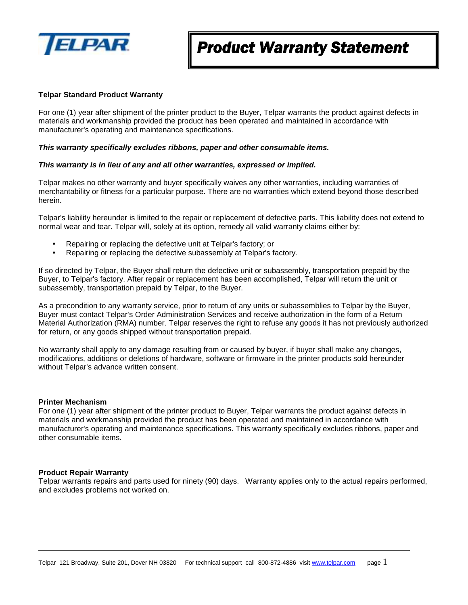

### **Telpar Standard Product Warranty**

For one (1) year after shipment of the printer product to the Buyer, Telpar warrants the product against defects in materials and workmanship provided the product has been operated and maintained in accordance with manufacturer's operating and maintenance specifications.

#### *This warranty specifically excludes ribbons, paper and other consumable items.*

#### *This warranty is in lieu of any and all other warranties, expressed or implied.*

Telpar makes no other warranty and buyer specifically waives any other warranties, including warranties of merchantability or fitness for a particular purpose. There are no warranties which extend beyond those described herein.

Telpar's liability hereunder is limited to the repair or replacement of defective parts. This liability does not extend to normal wear and tear. Telpar will, solely at its option, remedy all valid warranty claims either by:

- Repairing or replacing the defective unit at Telpar's factory; or
- Repairing or replacing the defective subassembly at Telpar's factory.

If so directed by Telpar, the Buyer shall return the defective unit or subassembly, transportation prepaid by the Buyer, to Telpar's factory. After repair or replacement has been accomplished, Telpar will return the unit or subassembly, transportation prepaid by Telpar, to the Buyer.

As a precondition to any warranty service, prior to return of any units or subassemblies to Telpar by the Buyer, Buyer must contact Telpar's Order Administration Services and receive authorization in the form of a Return Material Authorization (RMA) number. Telpar reserves the right to refuse any goods it has not previously authorized for return, or any goods shipped without transportation prepaid.

No warranty shall apply to any damage resulting from or caused by buyer, if buyer shall make any changes, modifications, additions or deletions of hardware, software or firmware in the printer products sold hereunder without Telpar's advance written consent.

#### **Printer Mechanism**

For one (1) year after shipment of the printer product to Buyer, Telpar warrants the product against defects in materials and workmanship provided the product has been operated and maintained in accordance with manufacturer's operating and maintenance specifications. This warranty specifically excludes ribbons, paper and other consumable items.

#### **Product Repair Warranty**

Telpar warrants repairs and parts used for ninety (90) days. Warranty applies only to the actual repairs performed, and excludes problems not worked on.